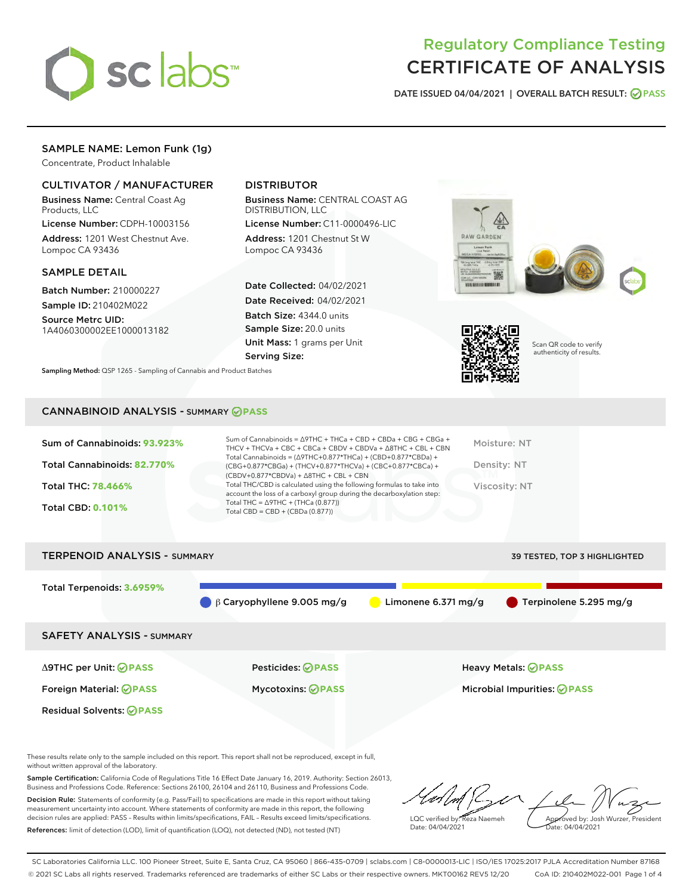

# Regulatory Compliance Testing CERTIFICATE OF ANALYSIS

DATE ISSUED 04/04/2021 | OVERALL BATCH RESULT: @ PASS

# SAMPLE NAME: Lemon Funk (1g)

Concentrate, Product Inhalable

# CULTIVATOR / MANUFACTURER

Business Name: Central Coast Ag Products, LLC

License Number: CDPH-10003156 Address: 1201 West Chestnut Ave. Lompoc CA 93436

# SAMPLE DETAIL

Batch Number: 210000227 Sample ID: 210402M022

Source Metrc UID: 1A4060300002EE1000013182

# DISTRIBUTOR

Business Name: CENTRAL COAST AG DISTRIBUTION, LLC

License Number: C11-0000496-LIC Address: 1201 Chestnut St W Lompoc CA 93436

Date Collected: 04/02/2021 Date Received: 04/02/2021 Batch Size: 4344.0 units Sample Size: 20.0 units Unit Mass: 1 grams per Unit Serving Size:

Sampling Method: QSP 1265 - Sampling of Cannabis and Product Batches







Scan QR code to verify authenticity of results.

# CANNABINOID ANALYSIS - SUMMARY **PASS**

| Sum of Cannabinoids: 93.923%<br>Total Cannabinoids: 82.770%<br>Total THC: 78.466%<br><b>Total CBD: 0.101%</b> | Sum of Cannabinoids = $\triangle$ 9THC + THCa + CBD + CBDa + CBG + CBGa +<br>THCV + THCVa + CBC + CBCa + CBDV + CBDVa + $\Delta$ 8THC + CBL + CBN<br>Total Cannabinoids = $(\Delta$ 9THC+0.877*THCa) + (CBD+0.877*CBDa) +<br>(CBG+0.877*CBGa) + (THCV+0.877*THCVa) + (CBC+0.877*CBCa) +<br>$(CBDV+0.877*CBDVa) + \Delta 8THC + CBL + CBN$<br>Total THC/CBD is calculated using the following formulas to take into<br>account the loss of a carboxyl group during the decarboxylation step:<br>Total THC = $\triangle$ 9THC + (THCa (0.877))<br>Total CBD = $CBD + (CBDa (0.877))$ | Moisture: NT<br>Density: NT<br>Viscosity: NT |
|---------------------------------------------------------------------------------------------------------------|------------------------------------------------------------------------------------------------------------------------------------------------------------------------------------------------------------------------------------------------------------------------------------------------------------------------------------------------------------------------------------------------------------------------------------------------------------------------------------------------------------------------------------------------------------------------------------|----------------------------------------------|
| <b>TERPENOID ANALYSIS - SUMMARY</b>                                                                           |                                                                                                                                                                                                                                                                                                                                                                                                                                                                                                                                                                                    | 39 TESTED. TOP 3 HIGHLIGHTED                 |

| Total Terpenoids: 3.6959%        | $\beta$ Garyophyllene 9.005 mg/g | Limonene 6.371 $mg/g$ | Terpinolene 5.295 mg/g             |
|----------------------------------|----------------------------------|-----------------------|------------------------------------|
| <b>SAFETY ANALYSIS - SUMMARY</b> |                                  |                       |                                    |
| ∆9THC per Unit: ⊘PASS            | Pesticides: <b>⊘</b> PASS        |                       | <b>Heavy Metals: ⊘PASS</b>         |
| Foreign Material: <b>⊘ PASS</b>  | <b>Mycotoxins: ⊘PASS</b>         |                       | Microbial Impurities: <b>OPASS</b> |
| <b>Residual Solvents: ⊘PASS</b>  |                                  |                       |                                    |

These results relate only to the sample included on this report. This report shall not be reproduced, except in full, without written approval of the laboratory.

Sample Certification: California Code of Regulations Title 16 Effect Date January 16, 2019. Authority: Section 26013, Business and Professions Code. Reference: Sections 26100, 26104 and 26110, Business and Professions Code. Decision Rule: Statements of conformity (e.g. Pass/Fail) to specifications are made in this report without taking

measurement uncertainty into account. Where statements of conformity are made in this report, the following decision rules are applied: PASS – Results within limits/specifications, FAIL – Results exceed limits/specifications. References: limit of detection (LOD), limit of quantification (LOQ), not detected (ND), not tested (NT)

LQC verified by: Reza Naemeh Date: 04/04/2021 Approved by: Josh Wurzer, President Date: 04/04/2021

SC Laboratories California LLC. 100 Pioneer Street, Suite E, Santa Cruz, CA 95060 | 866-435-0709 | sclabs.com | C8-0000013-LIC | ISO/IES 17025:2017 PJLA Accreditation Number 87168 © 2021 SC Labs all rights reserved. Trademarks referenced are trademarks of either SC Labs or their respective owners. MKT00162 REV5 12/20 CoA ID: 210402M022-001 Page 1 of 4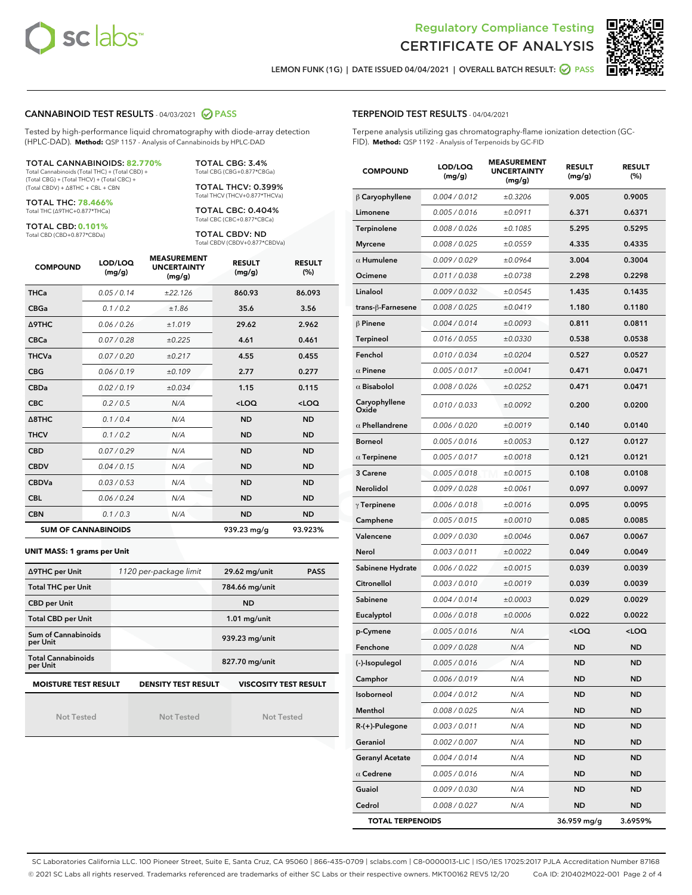



LEMON FUNK (1G) | DATE ISSUED 04/04/2021 | OVERALL BATCH RESULT: O PASS

# CANNABINOID TEST RESULTS - 04/03/2021 2 PASS

Tested by high-performance liquid chromatography with diode-array detection (HPLC-DAD). **Method:** QSP 1157 - Analysis of Cannabinoids by HPLC-DAD

#### TOTAL CANNABINOIDS: **82.770%**

Total Cannabinoids (Total THC) + (Total CBD) + (Total CBG) + (Total THCV) + (Total CBC) + (Total CBDV) + ∆8THC + CBL + CBN

TOTAL THC: **78.466%** Total THC (∆9THC+0.877\*THCa)

TOTAL CBD: **0.101%**

Total CBD (CBD+0.877\*CBDa)

TOTAL CBG: 3.4% Total CBG (CBG+0.877\*CBGa)

TOTAL THCV: 0.399% Total THCV (THCV+0.877\*THCVa)

TOTAL CBC: 0.404% Total CBC (CBC+0.877\*CBCa)

TOTAL CBDV: ND Total CBDV (CBDV+0.877\*CBDVa)

| <b>COMPOUND</b>  | LOD/LOQ<br>(mg/g)          | <b>MEASUREMENT</b><br><b>UNCERTAINTY</b><br>(mg/g) | <b>RESULT</b><br>(mg/g) | <b>RESULT</b><br>(%) |
|------------------|----------------------------|----------------------------------------------------|-------------------------|----------------------|
| <b>THCa</b>      | 0.05/0.14                  | ±22.126                                            | 860.93                  | 86.093               |
| <b>CBGa</b>      | 0.1 / 0.2                  | ±1.86                                              | 35.6                    | 3.56                 |
| <b>A9THC</b>     | 0.06 / 0.26                | ±1.019                                             | 29.62                   | 2.962                |
| <b>CBCa</b>      | 0.07/0.28                  | ±0.225                                             | 4.61                    | 0.461                |
| <b>THCVa</b>     | 0.07/0.20                  | ±0.217                                             | 4.55                    | 0.455                |
| <b>CBG</b>       | 0.06/0.19                  | ±0.109                                             | 2.77                    | 0.277                |
| <b>CBDa</b>      | 0.02/0.19                  | ±0.034                                             | 1.15                    | 0.115                |
| <b>CBC</b>       | 0.2 / 0.5                  | N/A                                                | $<$ LOQ                 | $<$ LOQ              |
| $\triangle$ 8THC | 0.1/0.4                    | N/A                                                | <b>ND</b>               | <b>ND</b>            |
| <b>THCV</b>      | 0.1/0.2                    | N/A                                                | <b>ND</b>               | <b>ND</b>            |
| <b>CBD</b>       | 0.07/0.29                  | N/A                                                | <b>ND</b>               | <b>ND</b>            |
| <b>CBDV</b>      | 0.04 / 0.15                | N/A                                                | <b>ND</b>               | <b>ND</b>            |
| <b>CBDVa</b>     | 0.03/0.53                  | N/A                                                | <b>ND</b>               | <b>ND</b>            |
| <b>CBL</b>       | 0.06 / 0.24                | N/A                                                | <b>ND</b>               | <b>ND</b>            |
| <b>CBN</b>       | 0.1/0.3                    | N/A                                                | <b>ND</b>               | <b>ND</b>            |
|                  | <b>SUM OF CANNABINOIDS</b> |                                                    | 939.23 mg/g             | 93.923%              |

#### **UNIT MASS: 1 grams per Unit**

| ∆9THC per Unit                         | 1120 per-package limit | 29.62 mg/unit<br><b>PASS</b> |
|----------------------------------------|------------------------|------------------------------|
| <b>Total THC per Unit</b>              |                        | 784.66 mg/unit               |
| <b>CBD per Unit</b>                    |                        | <b>ND</b>                    |
| <b>Total CBD per Unit</b>              |                        | $1.01$ mg/unit               |
| <b>Sum of Cannabinoids</b><br>per Unit |                        | 939.23 mg/unit               |
| <b>Total Cannabinoids</b><br>per Unit  |                        | 827.70 mg/unit               |
| <b>MOISTURE TEST RESULT</b>            | DENSITY TEST RESULT    | <b>VISCOSITY TEST RESULT</b> |

# **MOISTURE TEST RESULT**

Not Tested

Not Tested

Not Tested

## TERPENOID TEST RESULTS - 04/04/2021

Terpene analysis utilizing gas chromatography-flame ionization detection (GC-FID). **Method:** QSP 1192 - Analysis of Terpenoids by GC-FID

| <b>COMPOUND</b>         | LOD/LOQ<br>(mg/g) | <b>MEASUREMENT</b><br><b>UNCERTAINTY</b><br>(mg/g) | <b>RESULT</b><br>(mg/g)                         | <b>RESULT</b><br>(%) |
|-------------------------|-------------------|----------------------------------------------------|-------------------------------------------------|----------------------|
| $\beta$ Caryophyllene   | 0.004 / 0.012     | ±0.3206                                            | 9.005                                           | 0.9005               |
| Limonene                | 0.005 / 0.016     | ±0.0911                                            | 6.371                                           | 0.6371               |
| Terpinolene             | 0.008 / 0.026     | ±0.1085                                            | 5.295                                           | 0.5295               |
| <b>Myrcene</b>          | 0.008 / 0.025     | ±0.0559                                            | 4.335                                           | 0.4335               |
| $\alpha$ Humulene       | 0.009/0.029       | ±0.0964                                            | 3.004                                           | 0.3004               |
| Ocimene                 | 0.011 / 0.038     | ±0.0738                                            | 2.298                                           | 0.2298               |
| Linalool                | 0.009 / 0.032     | ±0.0545                                            | 1.435                                           | 0.1435               |
| trans-ß-Farnesene       | 0.008 / 0.025     | ±0.0419                                            | 1.180                                           | 0.1180               |
| $\beta$ Pinene          | 0.004 / 0.014     | ±0.0093                                            | 0.811                                           | 0.0811               |
| Terpineol               | 0.016 / 0.055     | ±0.0330                                            | 0.538                                           | 0.0538               |
| Fenchol                 | 0.010 / 0.034     | ±0.0204                                            | 0.527                                           | 0.0527               |
| $\alpha$ Pinene         | 0.005 / 0.017     | ±0.0041                                            | 0.471                                           | 0.0471               |
| $\alpha$ Bisabolol      | 0.008 / 0.026     | ±0.0252                                            | 0.471                                           | 0.0471               |
| Caryophyllene<br>Oxide  | 0.010 / 0.033     | ±0.0092                                            | 0.200                                           | 0.0200               |
| $\alpha$ Phellandrene   | 0.006 / 0.020     | ±0.0019                                            | 0.140                                           | 0.0140               |
| <b>Borneol</b>          | 0.005 / 0.016     | ±0.0053                                            | 0.127                                           | 0.0127               |
| $\alpha$ Terpinene      | 0.005 / 0.017     | ±0.0018                                            | 0.121                                           | 0.0121               |
| 3 Carene                | 0.005 / 0.018     | ±0.0015                                            | 0.108                                           | 0.0108               |
| Nerolidol               | 0.009 / 0.028     | ±0.0061                                            | 0.097                                           | 0.0097               |
| $\gamma$ Terpinene      | 0.006 / 0.018     | ±0.0016                                            | 0.095                                           | 0.0095               |
| Camphene                | 0.005 / 0.015     | ±0.0010                                            | 0.085                                           | 0.0085               |
| Valencene               | 0.009 / 0.030     | ±0.0046                                            | 0.067                                           | 0.0067               |
| Nerol                   | 0.003 / 0.011     | ±0.0022                                            | 0.049                                           | 0.0049               |
| Sabinene Hydrate        | 0.006 / 0.022     | ±0.0015                                            | 0.039                                           | 0.0039               |
| Citronellol             | 0.003 / 0.010     | ±0.0019                                            | 0.039                                           | 0.0039               |
| Sabinene                | 0.004 / 0.014     | ±0.0003                                            | 0.029                                           | 0.0029               |
| Eucalyptol              | 0.006 / 0.018     | ±0.0006                                            | 0.022                                           | 0.0022               |
| p-Cymene                | 0.005 / 0.016     | N/A                                                | <loq< th=""><th><loq< th=""></loq<></th></loq<> | <loq< th=""></loq<>  |
| Fenchone                | 0.009 / 0.028     | N/A                                                | ND                                              | <b>ND</b>            |
| (-)-Isopulegol          | 0.005 / 0.016     | N/A                                                | <b>ND</b>                                       | <b>ND</b>            |
| Camphor                 | 0.006 / 0.019     | N/A                                                | ND                                              | <b>ND</b>            |
| Isoborneol              | 0.004 / 0.012     | N/A                                                | ND                                              | ND                   |
| Menthol                 | 0.008 / 0.025     | N/A                                                | ND                                              | <b>ND</b>            |
| R-(+)-Pulegone          | 0.003 / 0.011     | N/A                                                | ND                                              | <b>ND</b>            |
| Geraniol                | 0.002 / 0.007     | N/A                                                | ND                                              | ND                   |
| <b>Geranyl Acetate</b>  | 0.004 / 0.014     | N/A                                                | ND                                              | ND                   |
| $\alpha$ Cedrene        | 0.005 / 0.016     | N/A                                                | ND                                              | <b>ND</b>            |
| Guaiol                  | 0.009 / 0.030     | N/A                                                | ND                                              | ND                   |
| Cedrol                  | 0.008 / 0.027     | N/A                                                | ND                                              | <b>ND</b>            |
| <b>TOTAL TERPENOIDS</b> |                   |                                                    | 36.959 mg/g                                     | 3.6959%              |

SC Laboratories California LLC. 100 Pioneer Street, Suite E, Santa Cruz, CA 95060 | 866-435-0709 | sclabs.com | C8-0000013-LIC | ISO/IES 17025:2017 PJLA Accreditation Number 87168 © 2021 SC Labs all rights reserved. Trademarks referenced are trademarks of either SC Labs or their respective owners. MKT00162 REV5 12/20 CoA ID: 210402M022-001 Page 2 of 4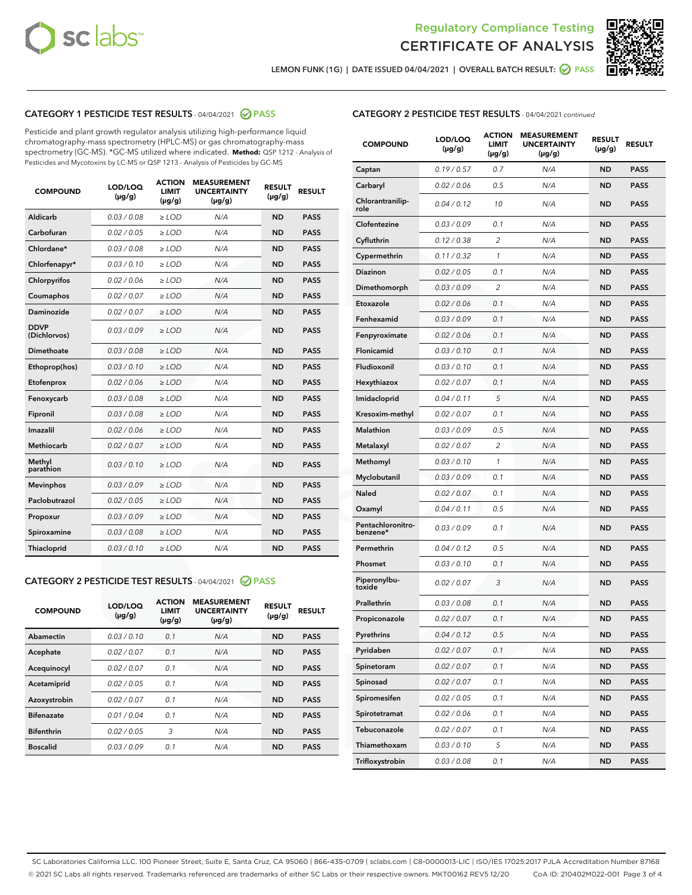



LEMON FUNK (1G) | DATE ISSUED 04/04/2021 | OVERALL BATCH RESULT: @ PASS

# CATEGORY 1 PESTICIDE TEST RESULTS - 04/04/2021 2 PASS

Pesticide and plant growth regulator analysis utilizing high-performance liquid chromatography-mass spectrometry (HPLC-MS) or gas chromatography-mass spectrometry (GC-MS). \*GC-MS utilized where indicated. **Method:** QSP 1212 - Analysis of Pesticides and Mycotoxins by LC-MS or QSP 1213 - Analysis of Pesticides by GC-MS

| 0.03 / 0.08<br><b>ND</b><br><b>PASS</b><br>Aldicarb<br>$\ge$ LOD<br>N/A<br>Carbofuran<br>0.02 / 0.05<br>N/A<br>$\ge$ LOD<br><b>ND</b><br><b>PASS</b><br>Chlordane*<br>0.03 / 0.08<br>$\ge$ LOD<br>N/A<br><b>ND</b><br><b>PASS</b><br>Chlorfenapyr*<br>0.03/0.10<br>$\ge$ LOD<br>N/A<br><b>ND</b><br><b>PASS</b><br>0.02 / 0.06<br>N/A<br><b>ND</b><br><b>PASS</b><br>Chlorpyrifos<br>$\ge$ LOD<br>N/A<br>Coumaphos<br>0.02 / 0.07<br><b>ND</b><br><b>PASS</b><br>$\ge$ LOD<br>Daminozide<br>0.02 / 0.07<br>N/A<br><b>ND</b><br><b>PASS</b><br>$\ge$ LOD<br><b>DDVP</b><br>0.03/0.09<br>$>$ LOD<br>N/A<br><b>ND</b><br><b>PASS</b><br>(Dichlorvos)<br>Dimethoate<br>0.03/0.08<br>$\ge$ LOD<br>N/A<br><b>PASS</b><br><b>ND</b><br>0.03 / 0.10<br>N/A<br><b>ND</b><br><b>PASS</b><br>Ethoprop(hos)<br>$>$ LOD<br>0.02 / 0.06<br>N/A<br><b>ND</b><br><b>PASS</b><br>$\ge$ LOD<br>Etofenprox<br>Fenoxycarb<br>0.03/0.08<br>$\ge$ LOD<br>N/A<br><b>ND</b><br><b>PASS</b><br>0.03/0.08<br>$\ge$ LOD<br>N/A<br><b>ND</b><br><b>PASS</b><br>Fipronil<br>Imazalil<br>0.02 / 0.06<br>$>$ LOD<br>N/A<br><b>ND</b><br><b>PASS</b><br><b>Methiocarb</b><br>0.02 / 0.07<br>$\ge$ LOD<br>N/A<br><b>ND</b><br><b>PASS</b><br>Methyl<br>0.03/0.10<br>N/A<br><b>ND</b><br>$\ge$ LOD<br><b>PASS</b><br>parathion<br>0.03/0.09<br><b>Mevinphos</b><br>$\ge$ LOD<br>N/A<br><b>ND</b><br><b>PASS</b><br>Paclobutrazol<br>0.02 / 0.05<br>N/A<br>$>$ LOD<br><b>ND</b><br><b>PASS</b><br>0.03/0.09<br>N/A<br>$\ge$ LOD<br><b>ND</b><br><b>PASS</b><br>Propoxur<br>0.03 / 0.08<br><b>ND</b><br><b>PASS</b><br>Spiroxamine<br>$\ge$ LOD<br>N/A<br>Thiacloprid<br>0.03/0.10<br>N/A<br><b>ND</b><br><b>PASS</b><br>$\ge$ LOD | <b>COMPOUND</b> | LOD/LOQ<br>$(\mu g/g)$ | <b>ACTION</b><br><b>LIMIT</b><br>$(\mu g/g)$ | <b>MEASUREMENT</b><br><b>UNCERTAINTY</b><br>$(\mu g/g)$ | <b>RESULT</b><br>$(\mu g/g)$ | <b>RESULT</b> |
|------------------------------------------------------------------------------------------------------------------------------------------------------------------------------------------------------------------------------------------------------------------------------------------------------------------------------------------------------------------------------------------------------------------------------------------------------------------------------------------------------------------------------------------------------------------------------------------------------------------------------------------------------------------------------------------------------------------------------------------------------------------------------------------------------------------------------------------------------------------------------------------------------------------------------------------------------------------------------------------------------------------------------------------------------------------------------------------------------------------------------------------------------------------------------------------------------------------------------------------------------------------------------------------------------------------------------------------------------------------------------------------------------------------------------------------------------------------------------------------------------------------------------------------------------------------------------------------------------------------------------------------------------------------------------------------------|-----------------|------------------------|----------------------------------------------|---------------------------------------------------------|------------------------------|---------------|
|                                                                                                                                                                                                                                                                                                                                                                                                                                                                                                                                                                                                                                                                                                                                                                                                                                                                                                                                                                                                                                                                                                                                                                                                                                                                                                                                                                                                                                                                                                                                                                                                                                                                                                |                 |                        |                                              |                                                         |                              |               |
|                                                                                                                                                                                                                                                                                                                                                                                                                                                                                                                                                                                                                                                                                                                                                                                                                                                                                                                                                                                                                                                                                                                                                                                                                                                                                                                                                                                                                                                                                                                                                                                                                                                                                                |                 |                        |                                              |                                                         |                              |               |
|                                                                                                                                                                                                                                                                                                                                                                                                                                                                                                                                                                                                                                                                                                                                                                                                                                                                                                                                                                                                                                                                                                                                                                                                                                                                                                                                                                                                                                                                                                                                                                                                                                                                                                |                 |                        |                                              |                                                         |                              |               |
|                                                                                                                                                                                                                                                                                                                                                                                                                                                                                                                                                                                                                                                                                                                                                                                                                                                                                                                                                                                                                                                                                                                                                                                                                                                                                                                                                                                                                                                                                                                                                                                                                                                                                                |                 |                        |                                              |                                                         |                              |               |
|                                                                                                                                                                                                                                                                                                                                                                                                                                                                                                                                                                                                                                                                                                                                                                                                                                                                                                                                                                                                                                                                                                                                                                                                                                                                                                                                                                                                                                                                                                                                                                                                                                                                                                |                 |                        |                                              |                                                         |                              |               |
|                                                                                                                                                                                                                                                                                                                                                                                                                                                                                                                                                                                                                                                                                                                                                                                                                                                                                                                                                                                                                                                                                                                                                                                                                                                                                                                                                                                                                                                                                                                                                                                                                                                                                                |                 |                        |                                              |                                                         |                              |               |
|                                                                                                                                                                                                                                                                                                                                                                                                                                                                                                                                                                                                                                                                                                                                                                                                                                                                                                                                                                                                                                                                                                                                                                                                                                                                                                                                                                                                                                                                                                                                                                                                                                                                                                |                 |                        |                                              |                                                         |                              |               |
|                                                                                                                                                                                                                                                                                                                                                                                                                                                                                                                                                                                                                                                                                                                                                                                                                                                                                                                                                                                                                                                                                                                                                                                                                                                                                                                                                                                                                                                                                                                                                                                                                                                                                                |                 |                        |                                              |                                                         |                              |               |
|                                                                                                                                                                                                                                                                                                                                                                                                                                                                                                                                                                                                                                                                                                                                                                                                                                                                                                                                                                                                                                                                                                                                                                                                                                                                                                                                                                                                                                                                                                                                                                                                                                                                                                |                 |                        |                                              |                                                         |                              |               |
|                                                                                                                                                                                                                                                                                                                                                                                                                                                                                                                                                                                                                                                                                                                                                                                                                                                                                                                                                                                                                                                                                                                                                                                                                                                                                                                                                                                                                                                                                                                                                                                                                                                                                                |                 |                        |                                              |                                                         |                              |               |
|                                                                                                                                                                                                                                                                                                                                                                                                                                                                                                                                                                                                                                                                                                                                                                                                                                                                                                                                                                                                                                                                                                                                                                                                                                                                                                                                                                                                                                                                                                                                                                                                                                                                                                |                 |                        |                                              |                                                         |                              |               |
|                                                                                                                                                                                                                                                                                                                                                                                                                                                                                                                                                                                                                                                                                                                                                                                                                                                                                                                                                                                                                                                                                                                                                                                                                                                                                                                                                                                                                                                                                                                                                                                                                                                                                                |                 |                        |                                              |                                                         |                              |               |
|                                                                                                                                                                                                                                                                                                                                                                                                                                                                                                                                                                                                                                                                                                                                                                                                                                                                                                                                                                                                                                                                                                                                                                                                                                                                                                                                                                                                                                                                                                                                                                                                                                                                                                |                 |                        |                                              |                                                         |                              |               |
|                                                                                                                                                                                                                                                                                                                                                                                                                                                                                                                                                                                                                                                                                                                                                                                                                                                                                                                                                                                                                                                                                                                                                                                                                                                                                                                                                                                                                                                                                                                                                                                                                                                                                                |                 |                        |                                              |                                                         |                              |               |
|                                                                                                                                                                                                                                                                                                                                                                                                                                                                                                                                                                                                                                                                                                                                                                                                                                                                                                                                                                                                                                                                                                                                                                                                                                                                                                                                                                                                                                                                                                                                                                                                                                                                                                |                 |                        |                                              |                                                         |                              |               |
|                                                                                                                                                                                                                                                                                                                                                                                                                                                                                                                                                                                                                                                                                                                                                                                                                                                                                                                                                                                                                                                                                                                                                                                                                                                                                                                                                                                                                                                                                                                                                                                                                                                                                                |                 |                        |                                              |                                                         |                              |               |
|                                                                                                                                                                                                                                                                                                                                                                                                                                                                                                                                                                                                                                                                                                                                                                                                                                                                                                                                                                                                                                                                                                                                                                                                                                                                                                                                                                                                                                                                                                                                                                                                                                                                                                |                 |                        |                                              |                                                         |                              |               |
|                                                                                                                                                                                                                                                                                                                                                                                                                                                                                                                                                                                                                                                                                                                                                                                                                                                                                                                                                                                                                                                                                                                                                                                                                                                                                                                                                                                                                                                                                                                                                                                                                                                                                                |                 |                        |                                              |                                                         |                              |               |
|                                                                                                                                                                                                                                                                                                                                                                                                                                                                                                                                                                                                                                                                                                                                                                                                                                                                                                                                                                                                                                                                                                                                                                                                                                                                                                                                                                                                                                                                                                                                                                                                                                                                                                |                 |                        |                                              |                                                         |                              |               |
|                                                                                                                                                                                                                                                                                                                                                                                                                                                                                                                                                                                                                                                                                                                                                                                                                                                                                                                                                                                                                                                                                                                                                                                                                                                                                                                                                                                                                                                                                                                                                                                                                                                                                                |                 |                        |                                              |                                                         |                              |               |
|                                                                                                                                                                                                                                                                                                                                                                                                                                                                                                                                                                                                                                                                                                                                                                                                                                                                                                                                                                                                                                                                                                                                                                                                                                                                                                                                                                                                                                                                                                                                                                                                                                                                                                |                 |                        |                                              |                                                         |                              |               |

## CATEGORY 2 PESTICIDE TEST RESULTS - 04/04/2021 @ PASS

| <b>COMPOUND</b>   | LOD/LOQ<br>$(\mu g/g)$ | <b>ACTION</b><br><b>LIMIT</b><br>$(\mu g/g)$ | <b>MEASUREMENT</b><br><b>UNCERTAINTY</b><br>$(\mu g/g)$ | <b>RESULT</b><br>$(\mu g/g)$ | <b>RESULT</b> |
|-------------------|------------------------|----------------------------------------------|---------------------------------------------------------|------------------------------|---------------|
| Abamectin         | 0.03/0.10              | 0.1                                          | N/A                                                     | <b>ND</b>                    | <b>PASS</b>   |
| Acephate          | 0.02/0.07              | 0.1                                          | N/A                                                     | <b>ND</b>                    | <b>PASS</b>   |
| Acequinocyl       | 0.02/0.07              | 0.1                                          | N/A                                                     | <b>ND</b>                    | <b>PASS</b>   |
| Acetamiprid       | 0.02/0.05              | 0.1                                          | N/A                                                     | <b>ND</b>                    | <b>PASS</b>   |
| Azoxystrobin      | 0.02/0.07              | 0.1                                          | N/A                                                     | <b>ND</b>                    | <b>PASS</b>   |
| <b>Bifenazate</b> | 0.01/0.04              | 0.1                                          | N/A                                                     | <b>ND</b>                    | <b>PASS</b>   |
| <b>Bifenthrin</b> | 0.02/0.05              | 3                                            | N/A                                                     | <b>ND</b>                    | <b>PASS</b>   |
| <b>Boscalid</b>   | 0.03/0.09              | 0.1                                          | N/A                                                     | <b>ND</b>                    | <b>PASS</b>   |

|  | <b>CATEGORY 2 PESTICIDE TEST RESULTS</b> - 04/04/2021 continued |
|--|-----------------------------------------------------------------|
|--|-----------------------------------------------------------------|

| <b>COMPOUND</b>               | LOD/LOQ<br>(µg/g) | <b>ACTION</b><br><b>LIMIT</b><br>$(\mu g/g)$ | <b>MEASUREMENT</b><br><b>UNCERTAINTY</b><br>(µg/g) | <b>RESULT</b><br>(µg/g) | <b>RESULT</b> |
|-------------------------------|-------------------|----------------------------------------------|----------------------------------------------------|-------------------------|---------------|
| Captan                        | 0.19/0.57         | 0.7                                          | N/A                                                | <b>ND</b>               | <b>PASS</b>   |
| Carbaryl                      | 0.02 / 0.06       | 0.5                                          | N/A                                                | <b>ND</b>               | <b>PASS</b>   |
| Chlorantranilip-<br>role      | 0.04 / 0.12       | 10                                           | N/A                                                | ND                      | <b>PASS</b>   |
| Clofentezine                  | 0.03 / 0.09       | 0.1                                          | N/A                                                | <b>ND</b>               | <b>PASS</b>   |
| Cyfluthrin                    | 0.12 / 0.38       | 2                                            | N/A                                                | <b>ND</b>               | <b>PASS</b>   |
| Cypermethrin                  | 0.11 / 0.32       | 1                                            | N/A                                                | <b>ND</b>               | <b>PASS</b>   |
| Diazinon                      | 0.02 / 0.05       | 0.1                                          | N/A                                                | ND                      | <b>PASS</b>   |
| Dimethomorph                  | 0.03 / 0.09       | 2                                            | N/A                                                | <b>ND</b>               | <b>PASS</b>   |
| Etoxazole                     | 0.02 / 0.06       | 0.1                                          | N/A                                                | <b>ND</b>               | <b>PASS</b>   |
| Fenhexamid                    | 0.03 / 0.09       | 0.1                                          | N/A                                                | <b>ND</b>               | <b>PASS</b>   |
| Fenpyroximate                 | 0.02 / 0.06       | 0.1                                          | N/A                                                | <b>ND</b>               | <b>PASS</b>   |
| Flonicamid                    | 0.03 / 0.10       | 0.1                                          | N/A                                                | <b>ND</b>               | <b>PASS</b>   |
| Fludioxonil                   | 0.03 / 0.10       | 0.1                                          | N/A                                                | ND                      | <b>PASS</b>   |
| Hexythiazox                   | 0.02 / 0.07       | 0.1                                          | N/A                                                | <b>ND</b>               | <b>PASS</b>   |
| Imidacloprid                  | 0.04 / 0.11       | 5                                            | N/A                                                | <b>ND</b>               | <b>PASS</b>   |
| Kresoxim-methyl               | 0.02 / 0.07       | 0.1                                          | N/A                                                | <b>ND</b>               | <b>PASS</b>   |
| Malathion                     | 0.03/0.09         | 0.5                                          | N/A                                                | <b>ND</b>               | <b>PASS</b>   |
| Metalaxyl                     | 0.02 / 0.07       | 2                                            | N/A                                                | <b>ND</b>               | <b>PASS</b>   |
| Methomyl                      | 0.03 / 0.10       | 1                                            | N/A                                                | ND                      | <b>PASS</b>   |
| Myclobutanil                  | 0.03 / 0.09       | 0.1                                          | N/A                                                | <b>ND</b>               | <b>PASS</b>   |
| Naled                         | 0.02 / 0.07       | 0.1                                          | N/A                                                | <b>ND</b>               | <b>PASS</b>   |
| Oxamyl                        | 0.04 / 0.11       | 0.5                                          | N/A                                                | ND                      | <b>PASS</b>   |
| Pentachloronitro-<br>benzene* | 0.03 / 0.09       | 0.1                                          | N/A                                                | <b>ND</b>               | <b>PASS</b>   |
| Permethrin                    | 0.04 / 0.12       | 0.5                                          | N/A                                                | <b>ND</b>               | <b>PASS</b>   |
| Phosmet                       | 0.03 / 0.10       | 0.1                                          | N/A                                                | <b>ND</b>               | <b>PASS</b>   |
| Piperonylbu-<br>toxide        | 0.02 / 0.07       | 3                                            | N/A                                                | <b>ND</b>               | <b>PASS</b>   |
| Prallethrin                   | 0.03 / 0.08       | 0.1                                          | N/A                                                | <b>ND</b>               | <b>PASS</b>   |
| Propiconazole                 | 0.02 / 0.07       | 0.1                                          | N/A                                                | <b>ND</b>               | <b>PASS</b>   |
| Pyrethrins                    | 0.04 / 0.12       | 0.5                                          | N/A                                                | ND                      | PASS          |
| Pyridaben                     | 0.02 / 0.07       | 0.1                                          | N/A                                                | ND                      | PASS          |
| Spinetoram                    | 0.02 / 0.07       | 0.1                                          | N/A                                                | <b>ND</b>               | <b>PASS</b>   |
| Spinosad                      | 0.02 / 0.07       | 0.1                                          | N/A                                                | ND                      | <b>PASS</b>   |
| Spiromesifen                  | 0.02 / 0.05       | 0.1                                          | N/A                                                | <b>ND</b>               | <b>PASS</b>   |
| Spirotetramat                 | 0.02 / 0.06       | 0.1                                          | N/A                                                | <b>ND</b>               | <b>PASS</b>   |
| Tebuconazole                  | 0.02 / 0.07       | 0.1                                          | N/A                                                | ND                      | <b>PASS</b>   |
| Thiamethoxam                  | 0.03 / 0.10       | 5                                            | N/A                                                | <b>ND</b>               | <b>PASS</b>   |
| Trifloxystrobin               | 0.03 / 0.08       | 0.1                                          | N/A                                                | <b>ND</b>               | <b>PASS</b>   |